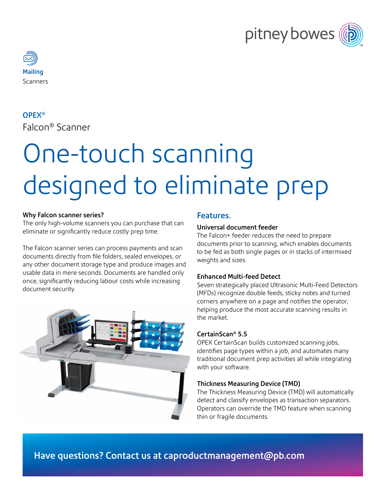



#### OPEX®

Falcon® Scanner

# One-touch scanning designed to eliminate prep

#### Why Falcon scanner series?

The only high-volume scanners you can purchase that can eliminate or significantly reduce costly prep time.

The Falcon scanner series can process payments and scan documents directly from file folders, sealed envelopes, or any other document storage type and produce images and usable data in mere seconds. Documents are handled only once, significantly reducing labour costs while increasing document security.



#### Features.

#### Universal document feeder

The Falcon+ feeder reduces the need to prepare documents prior to scanning, which enables documents to be fed as both single pages or in stacks of intermixed weights and sizes.

#### Enhanced Multi-feed Detect

Seven strategically placed Ultrasonic Multi-Feed Detectors (MFDs) recognize double feeds, sticky notes and turned corners anywhere on a page and notifies the operator, helping produce the most accurate scanning results in the market.

#### CertainScan® 5.5

OPEX CertainScan builds customized scanning jobs, identifies page types within a job, and automates many traditional document prep activities all while integrating with your software.

#### Thickness Measuring Device (TMD)

The Thickness Measuring Device (TMD) will automatically detect and classify envelopes as transaction separators. Operators can override the TMD feature when scanning thin or fragile documents.

Have questions? Contact us at <caproductmanagement@pb.com>